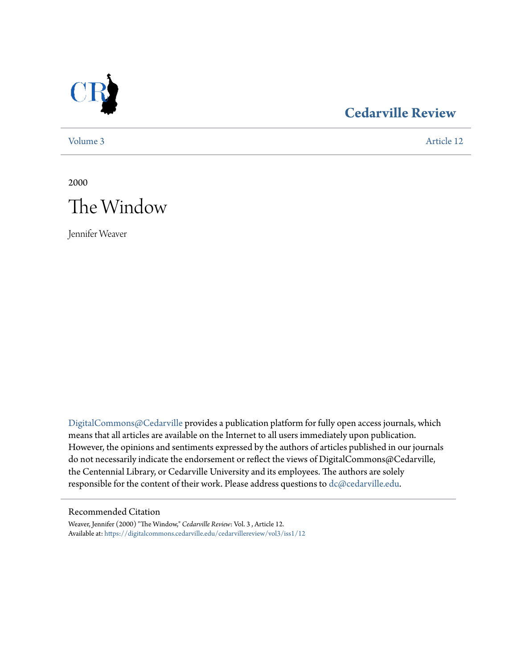

## **[Cedarville Review](https://digitalcommons.cedarville.edu/cedarvillereview?utm_source=digitalcommons.cedarville.edu%2Fcedarvillereview%2Fvol3%2Fiss1%2F12&utm_medium=PDF&utm_campaign=PDFCoverPages)**

[Volume 3](https://digitalcommons.cedarville.edu/cedarvillereview/vol3?utm_source=digitalcommons.cedarville.edu%2Fcedarvillereview%2Fvol3%2Fiss1%2F12&utm_medium=PDF&utm_campaign=PDFCoverPages) [Article 12](https://digitalcommons.cedarville.edu/cedarvillereview/vol3/iss1/12?utm_source=digitalcommons.cedarville.edu%2Fcedarvillereview%2Fvol3%2Fiss1%2F12&utm_medium=PDF&utm_campaign=PDFCoverPages)

2000



Jennifer Weaver

[DigitalCommons@Cedarville](http://digitalcommons.cedarville.edu) provides a publication platform for fully open access journals, which means that all articles are available on the Internet to all users immediately upon publication. However, the opinions and sentiments expressed by the authors of articles published in our journals do not necessarily indicate the endorsement or reflect the views of DigitalCommons@Cedarville, the Centennial Library, or Cedarville University and its employees. The authors are solely responsible for the content of their work. Please address questions to [dc@cedarville.edu](mailto:dc@cedarville.edu).

#### Recommended Citation

Weaver, Jennifer (2000) "The Window," *Cedarville Review*: Vol. 3 , Article 12. Available at: [https://digitalcommons.cedarville.edu/cedarvillereview/vol3/iss1/12](https://digitalcommons.cedarville.edu/cedarvillereview/vol3/iss1/12?utm_source=digitalcommons.cedarville.edu%2Fcedarvillereview%2Fvol3%2Fiss1%2F12&utm_medium=PDF&utm_campaign=PDFCoverPages)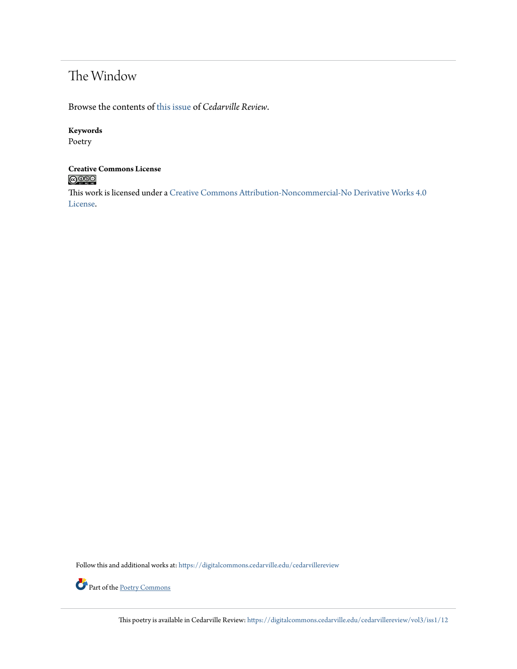## The Window

Browse the contents of [this issue](https://digitalcommons.cedarville.edu/cedarvillereview/vol3/iss1) of *Cedarville Review*.

#### **Keywords**

Poetry

# **Creative Commons License**

This work is licensed under a [Creative Commons Attribution-Noncommercial-No Derivative Works 4.0](http://creativecommons.org/licenses/by-nc-nd/4.0/) [License.](http://creativecommons.org/licenses/by-nc-nd/4.0/)

Follow this and additional works at: [https://digitalcommons.cedarville.edu/cedarvillereview](https://digitalcommons.cedarville.edu/cedarvillereview?utm_source=digitalcommons.cedarville.edu%2Fcedarvillereview%2Fvol3%2Fiss1%2F12&utm_medium=PDF&utm_campaign=PDFCoverPages)



This poetry is available in Cedarville Review: [https://digitalcommons.cedarville.edu/cedarvillereview/vol3/iss1/12](https://digitalcommons.cedarville.edu/cedarvillereview/vol3/iss1/12?utm_source=digitalcommons.cedarville.edu%2Fcedarvillereview%2Fvol3%2Fiss1%2F12&utm_medium=PDF&utm_campaign=PDFCoverPages)